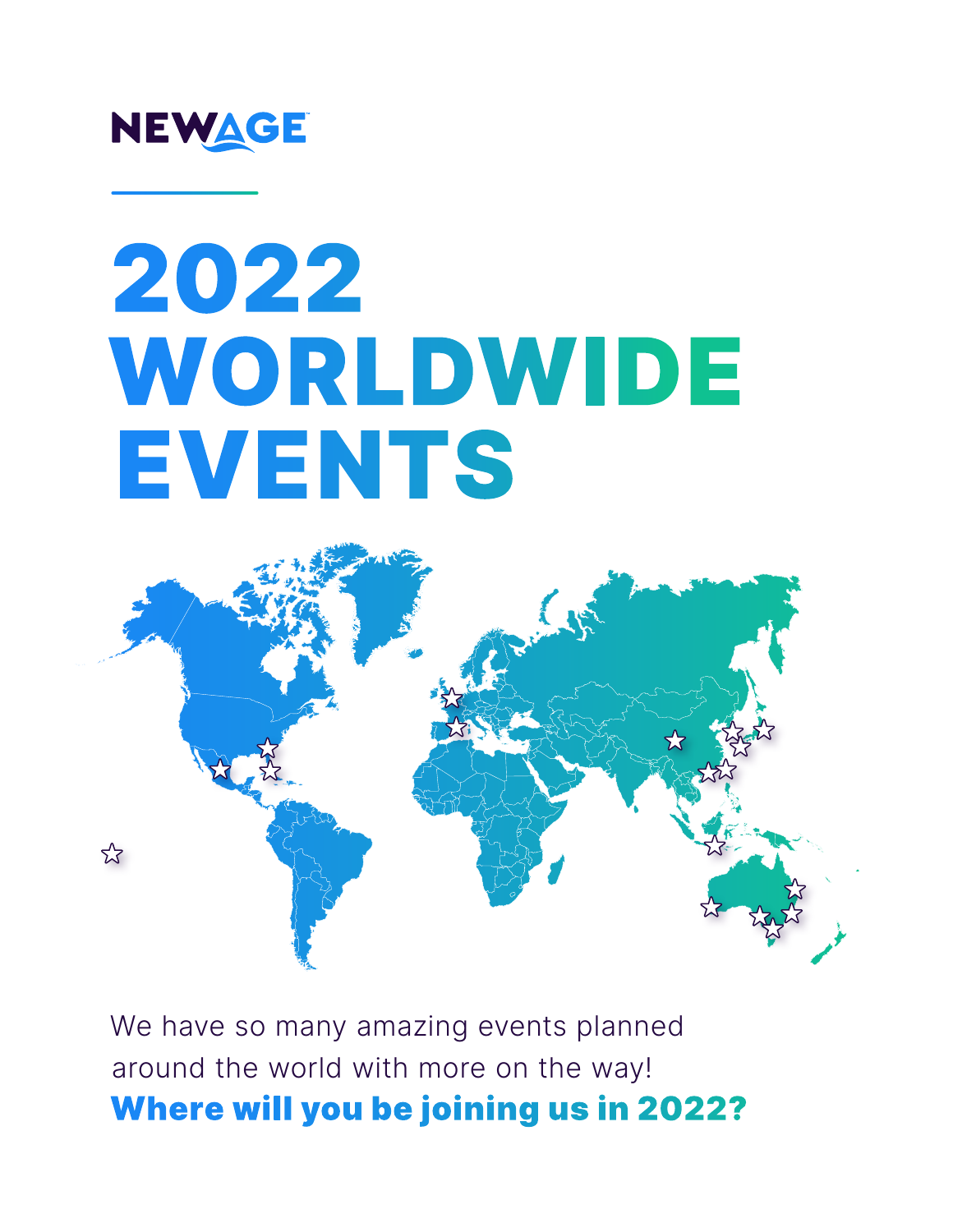

# 2022 WORLDWIDE EVENTS



We have so many amazing events planned around the world with more on the way! Where will you be joining us in 2022?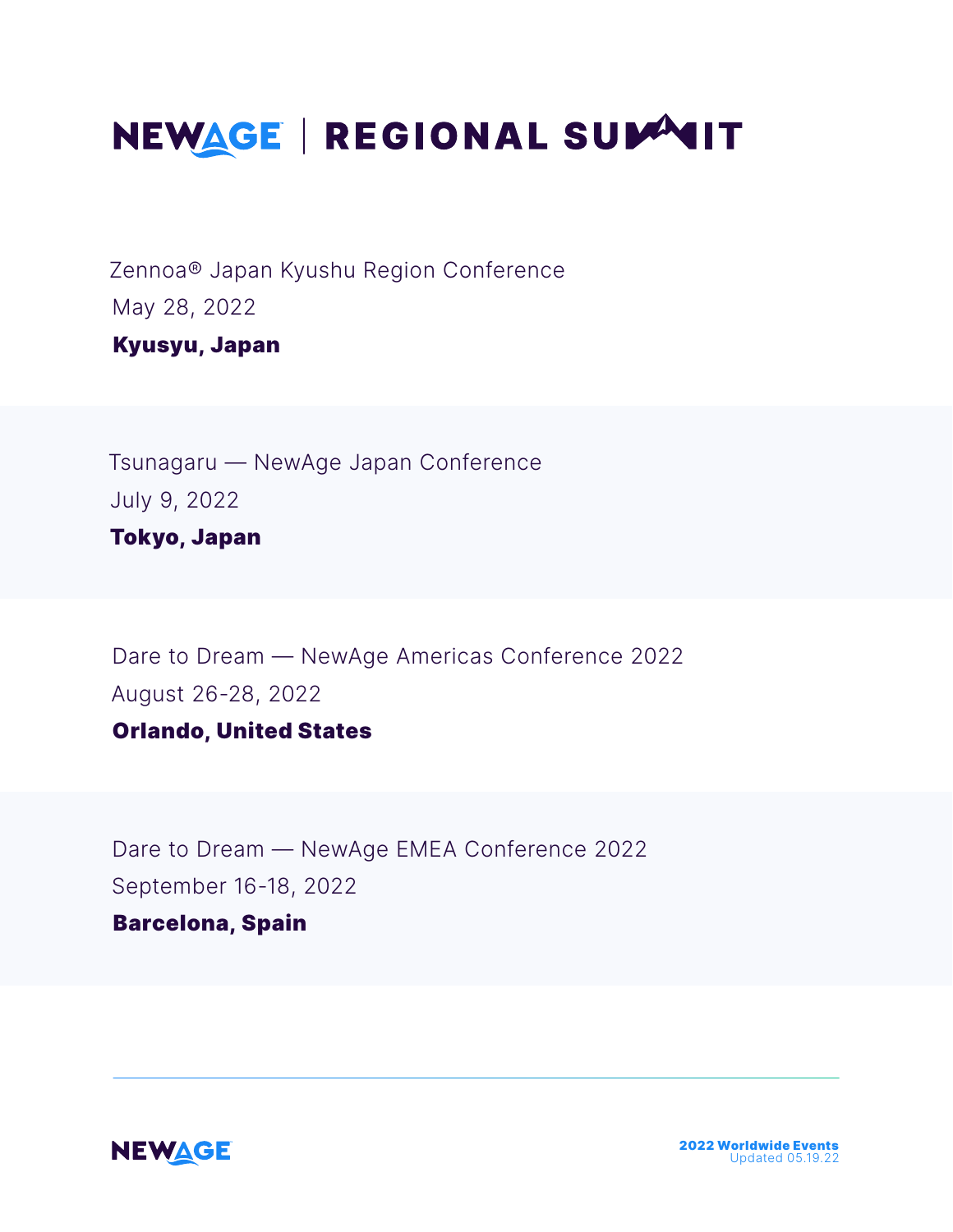# NEWAGE | REGIONAL SUMMIT

Zennoa® Japan Kyushu Region Conference May 28, 2022

Kyusyu, Japan

Tsunagaru — NewAge Japan Conference July 9, 2022 Tokyo, Japan

Dare to Dream — NewAge Americas Conference 2022 August 26-28, 2022 Orlando, United States

Dare to Dream — NewAge EMEA Conference 2022 September 16-18, 2022

#### Barcelona, Spain

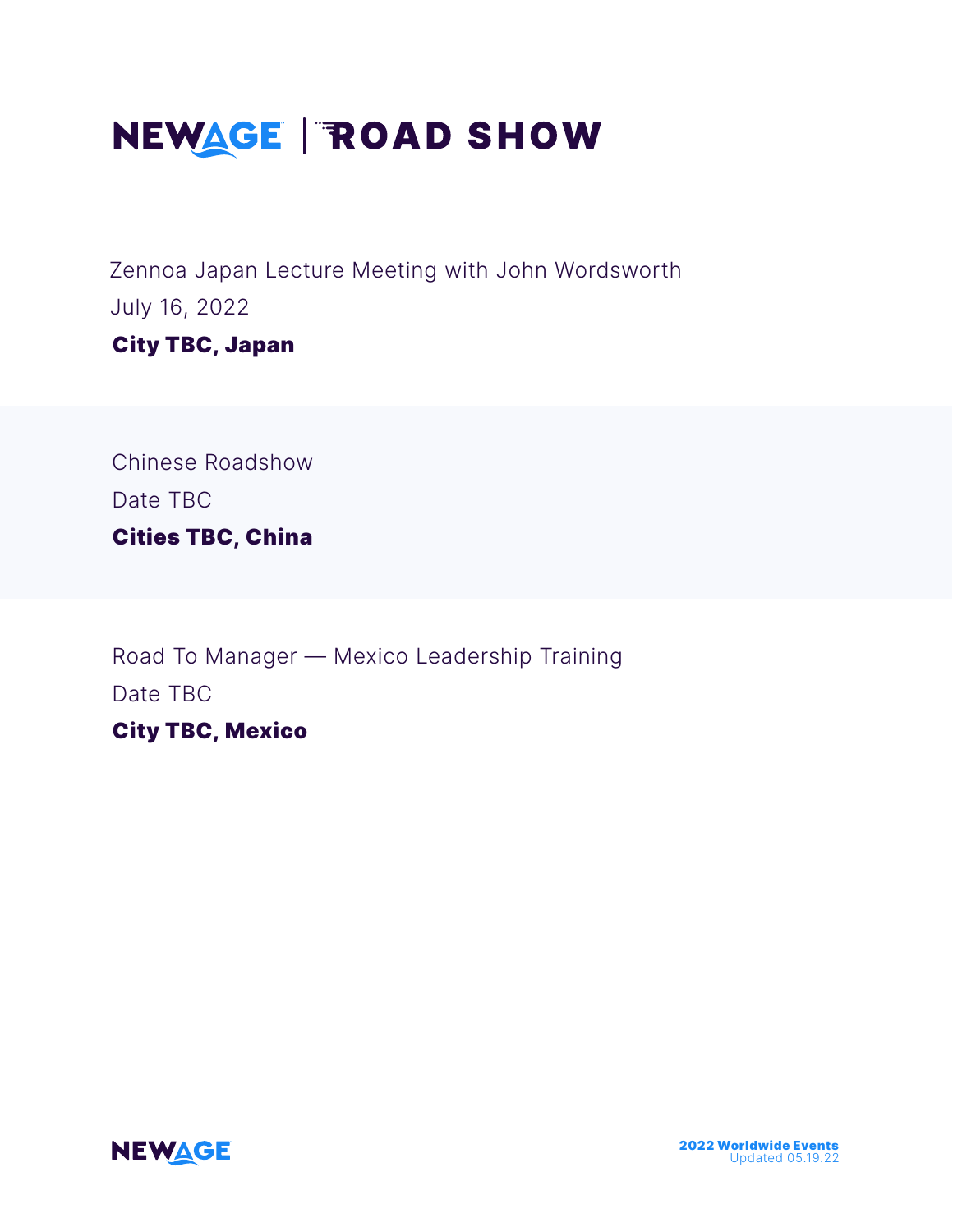# NEWAGE | ROAD SHOW

Zennoa Japan Lecture Meeting with John Wordsworth July 16, 2022 City TBC, Japan

Chinese Roadshow Date TBC Cities TBC, China

Road To Manager — Mexico Leadership Training Date TBC City TBC, Mexico

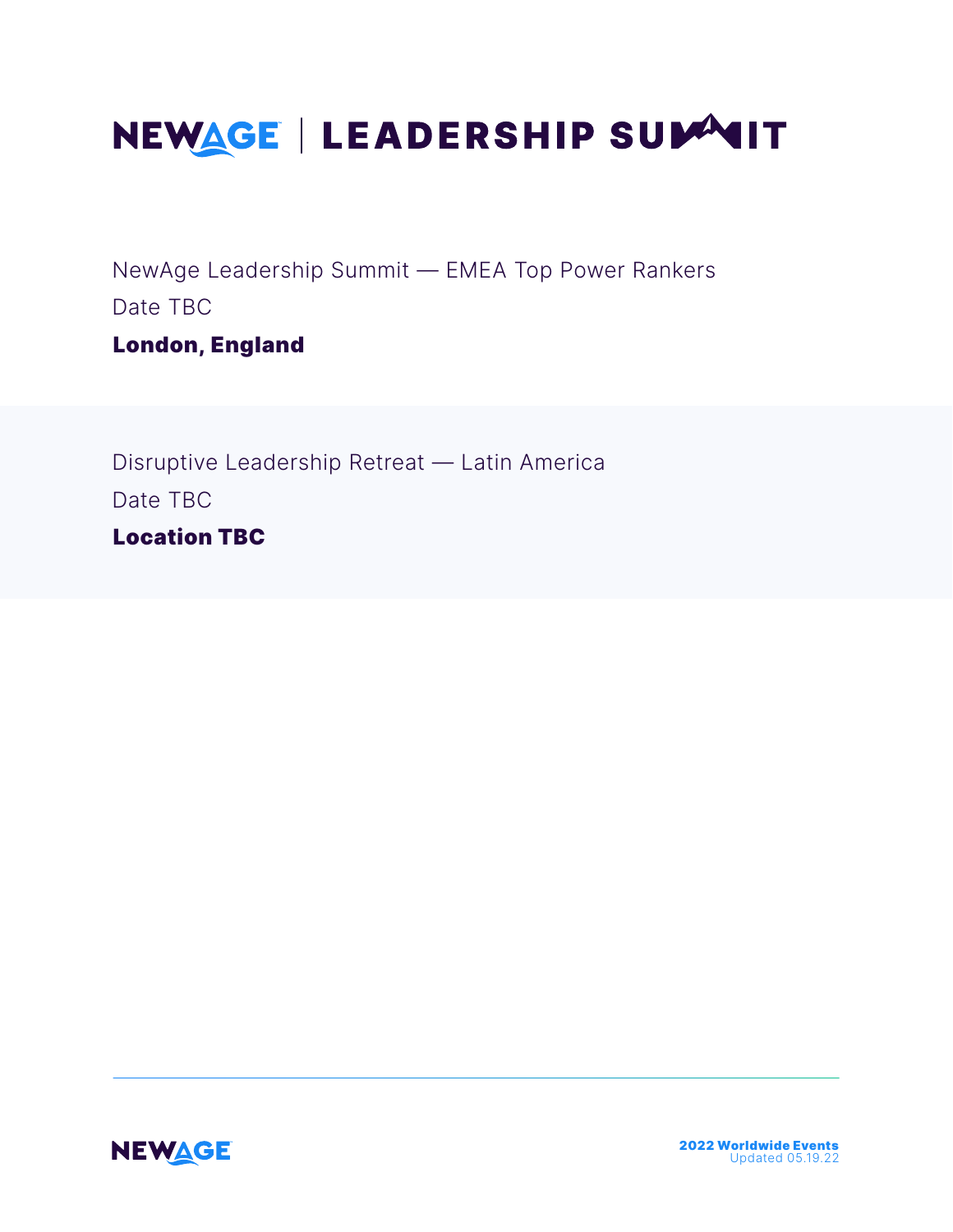# NEWAGE | LEADERSHIP SUMMIT

NewAge Leadership Summit — EMEA Top Power Rankers Date TBC

London, England

Disruptive Leadership Retreat — Latin America Date TBC Location TBC

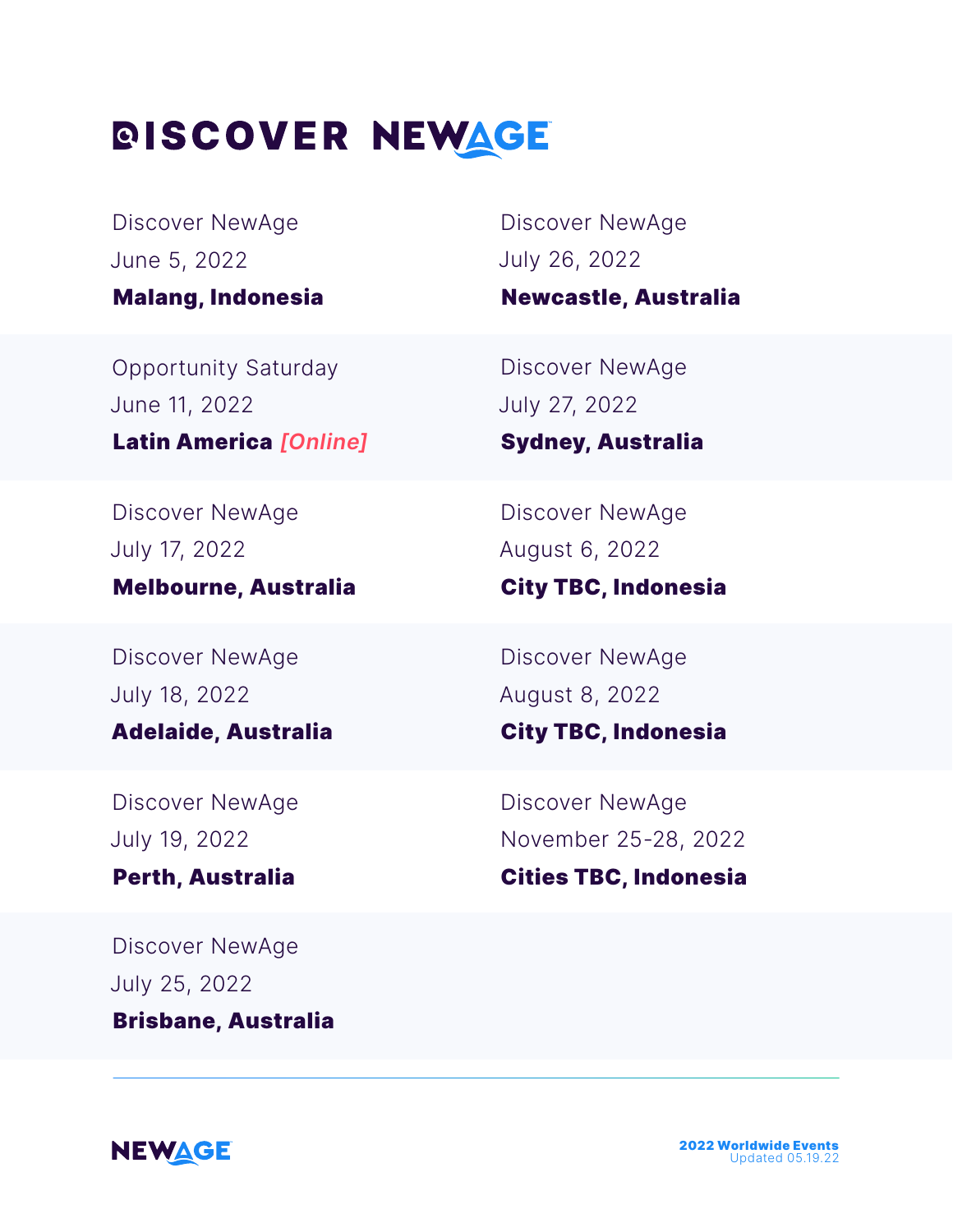## *DISCOVER NEWAGE*

Discover NewAge June 5, 2022 Malang, Indonesia

Discover NewAge July 26, 2022

Newcastle, Australia

Opportunity Saturday June 11, 2022 Latin America *[Online]*

Discover NewAge July 17, 2022

### Melbourne, Australia

Discover NewAge July 18, 2022

#### Adelaide, Australia

Discover NewAge July 19, 2022

Perth, Australia

Discover NewAge July 25, 2022 Brisbane, Australia

Discover NewAge July 27, 2022

### Sydney, Australia

Discover NewAge August 6, 2022

### City TBC, Indonesia

Discover NewAge August 8, 2022

### City TBC, Indonesia

Discover NewAge November 25-28, 2022

#### Cities TBC, Indonesia

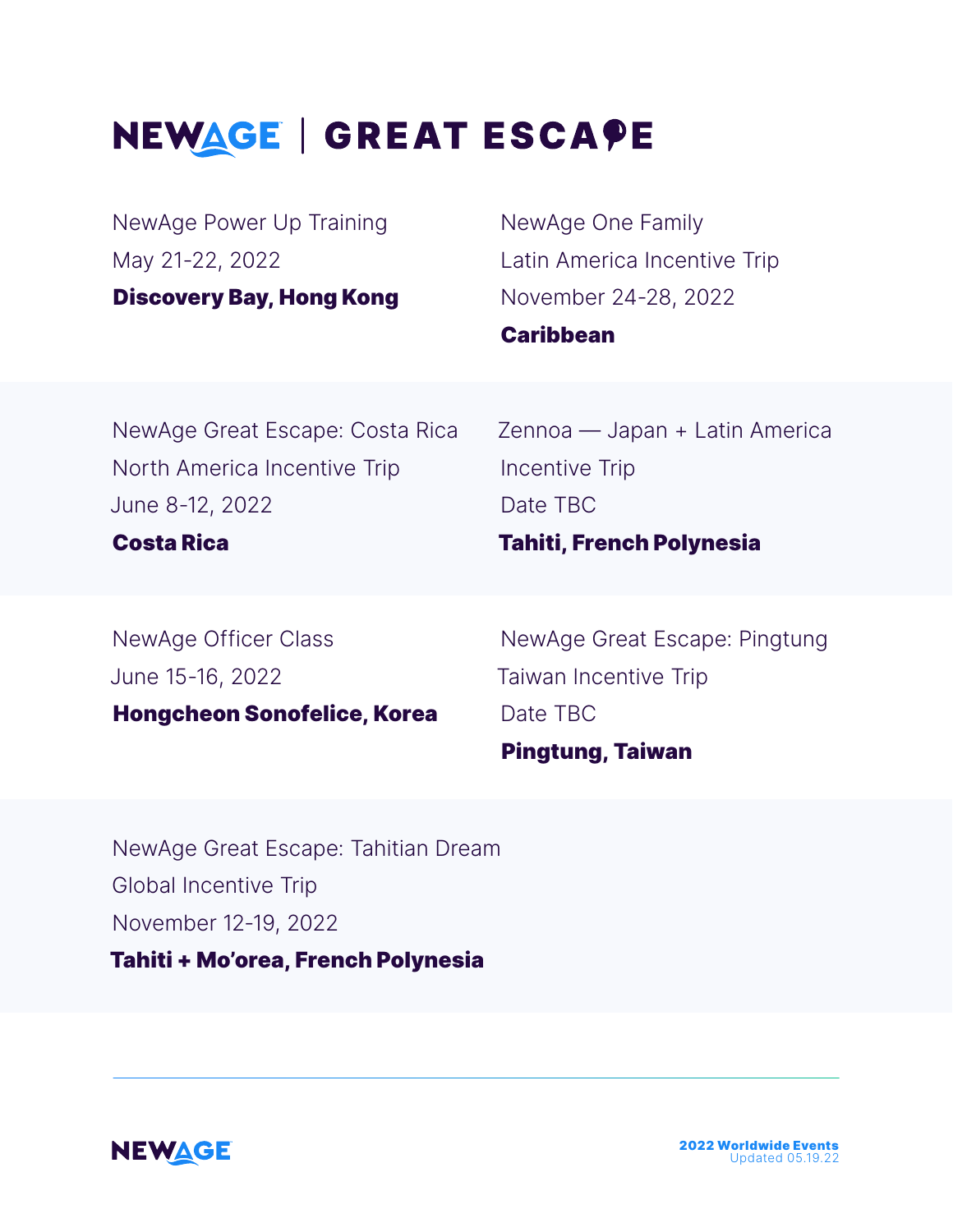# NEWAGE | GREAT ESCAPE

NewAge Power Up Training May 21-22, 2022

Discovery Bay, Hong Kong

NewAge One Family Latin America Incentive Trip November 24-28, 2022 **Caribbean** 

NewAge Great Escape: Costa Rica North America Incentive Trip June 8-12, 2022

Zennoa — Japan + Latin America Incentive Trip Date TBC

Tahiti, French Polynesia

#### Costa Rica

NewAge Officer Class June 15-16, 2022 Hongcheon Sonofelice, Korea

NewAge Great Escape: Pingtung Taiwan Incentive Trip Date TBC

### Pingtung, Taiwan

NewAge Great Escape: Tahitian Dream Global Incentive Trip November 12-19, 2022

Tahiti + Mo'orea, French Polynesia



2022 Worldwide Events Updated 05.19.22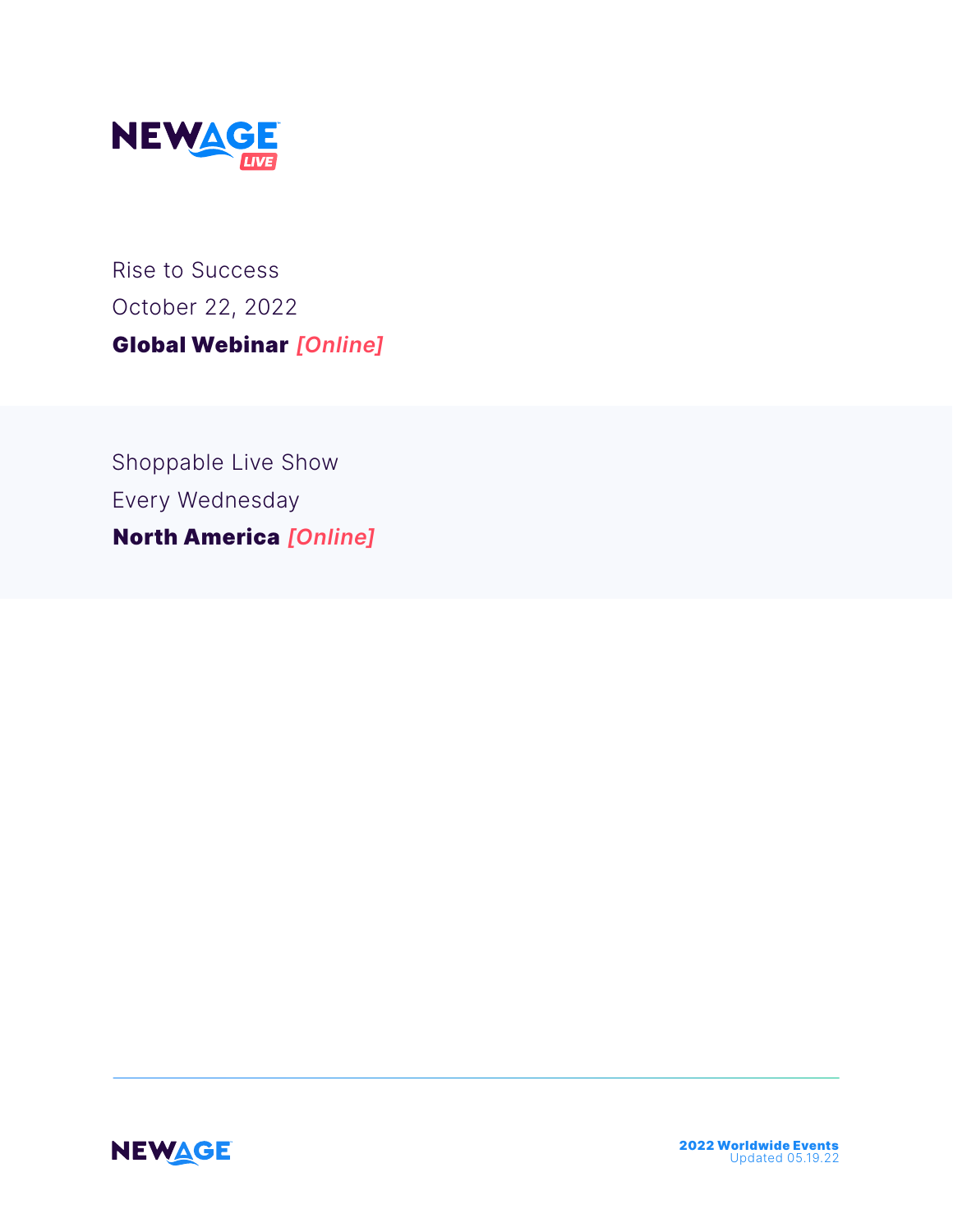

Rise to Success October 22, 2022 Global Webinar *[Online]*

Shoppable Live Show Every Wednesday North America *[Online]*